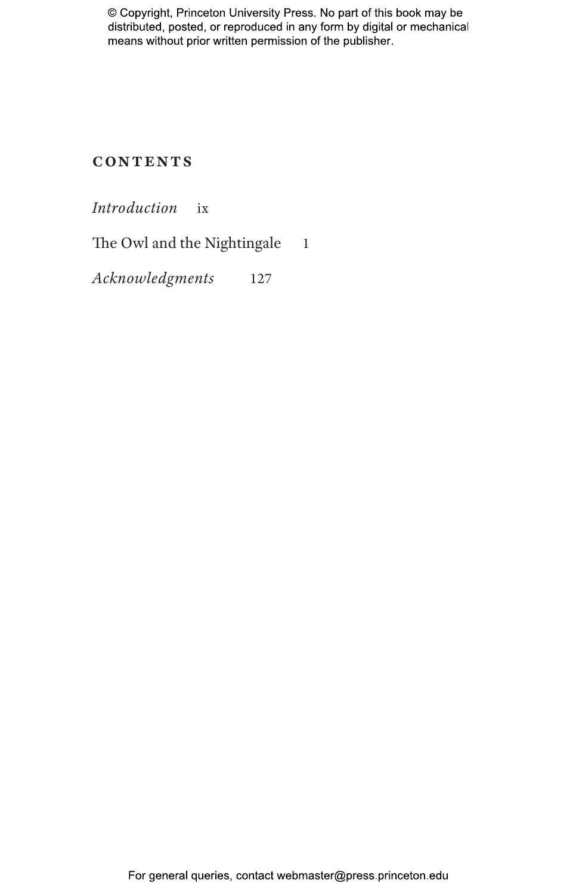## **Contents**

*Introduction* ix

The Owl and the Nightingale 1

*Acknowledgments* 127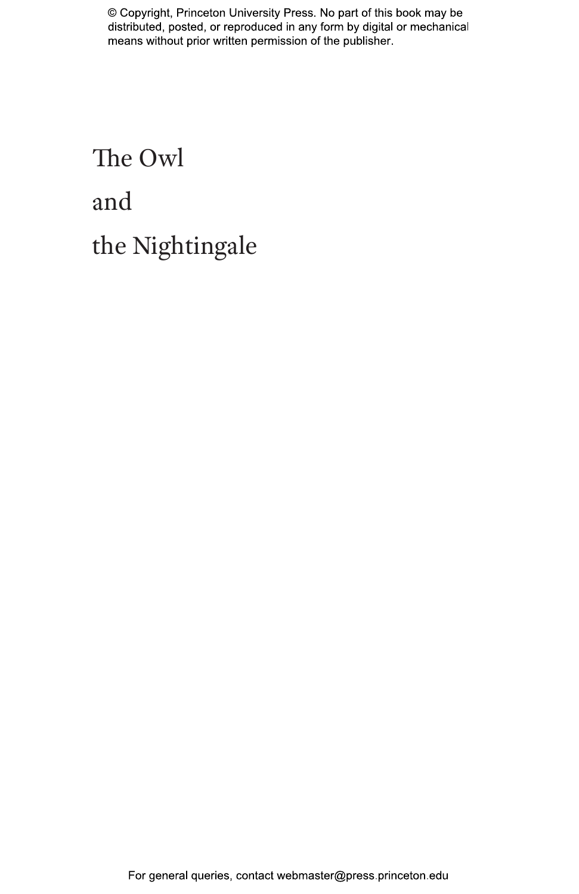## The Owl and the Nightingale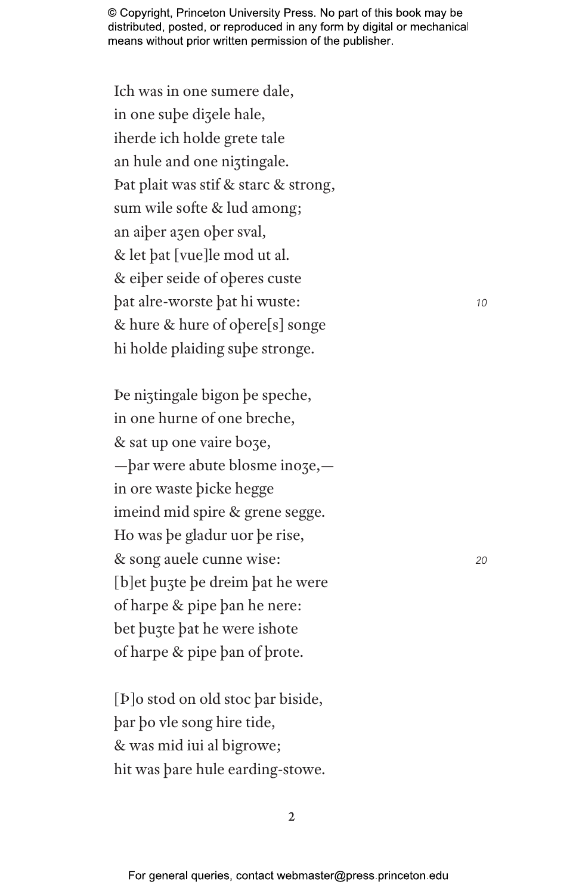Ich was in one sumere dale, in one sube dizele hale, iherde ich holde grete tale an hule and one niztingale. Dat plait was stif & starc & strong, sum wile softe & lud among; an aiber azen ober sval, & let bat [vue]le mod ut al. & eiber seide of oberes custe bat alre-worste bat hi wuste: & hure & hure of obere[s] songe hi holde plaiding sube stronge.

De niztingale bigon be speche, in one hurne of one breche, & sat up one vaire boze, -bar were abute blosme inoze,in ore waste bicke hegge imeind mid spire & grene segge. Ho was be gladur uor be rise, & song auele cunne wise: [b] et buzte be dreim bat he were of harpe & pipe ban he nere: bet buzte bat he were ishote of harpe & pipe ban of brote.

[Þ]o stod on old stoc þar biside, bar bo vle song hire tide, & was mid iui al bigrowe; hit was bare hule earding-stowe. 10

20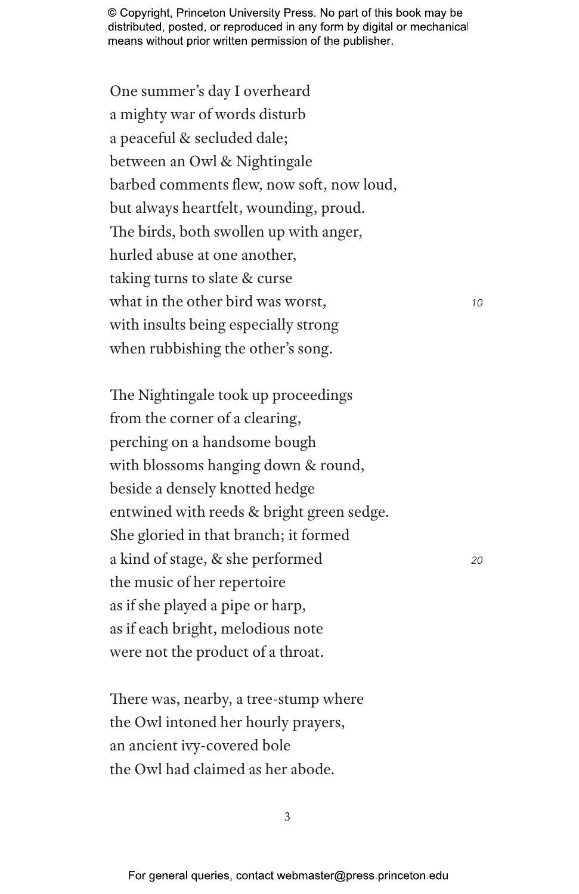One summer's day I overheard a mighty war of words disturb a peaceful & secluded dale; between an Owl & Nightingale barbed comments flew, now soft, now loud, but always heartfelt, wounding, proud. The birds, both swollen up with anger, hurled abuse at one another, taking turns to slate & curse what in the other bird was worst, *10* with insults being especially strong when rubbishing the other's song.

The Nightingale took up proceedings from the corner of a clearing, perching on a handsome bough with blossoms hanging down & round, beside a densely knotted hedge entwined with reeds & bright green sedge. She gloried in that branch; it formed a kind of stage, & she performed *<sup>20</sup>* the music of her repertoire as if she played a pipe or harp, as if each bright, melodious note were not the product of a throat.

There was, nearby, a tree-stump where the Owl intoned her hourly prayers, an ancient ivy-covered bole the Owl had claimed as her abode.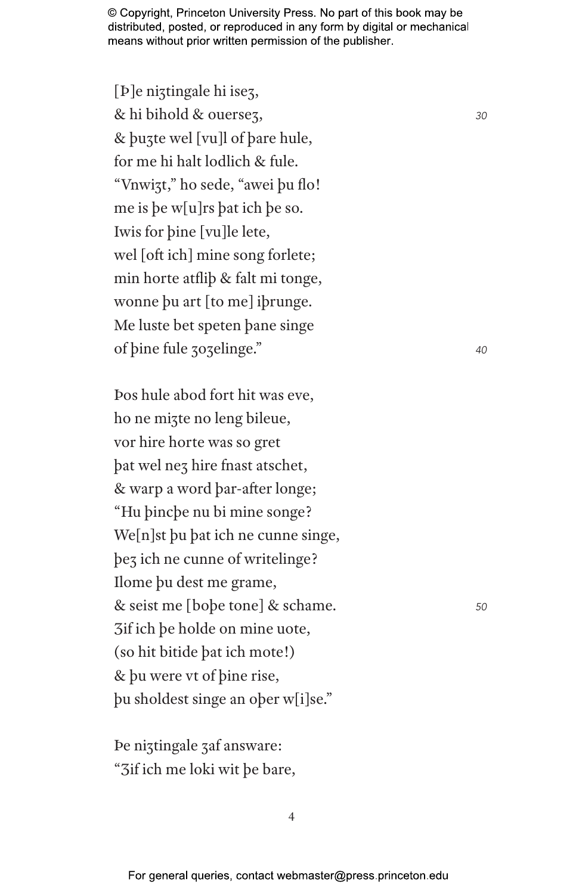[**P**]e niztingale hi isez, & hi bihold & ouerseȝ, *<sup>30</sup>* & þuȝte wel [vu]l of þare hule, for me hi halt lodlich & fule. "Vnwiȝt," ho sede, "awei þu flo! me is þe w[u]rs þat ich þe so. Iwis for þine [vu]le lete, wel [oft ich] mine song forlete; min horte atfliþ & falt mi tonge, wonne þu art [to me] iþrunge. Me luste bet speten þane singe of þine fule ȝoȝelinge." *<sup>40</sup>*

Þos hule abod fort hit was eve, ho ne miȝte no leng bileue, vor hire horte was so gret þat wel neȝ hire fnast atschet, & warp a word þar-after longe; "Hu þincþe nu bi mine songe? We[n]st þu þat ich ne cunne singe, þeȝ ich ne cunne of writelinge? Ilome þu dest me grame, & seist me [boþe tone] & schame. *<sup>50</sup>* Ȝif ich þe holde on mine uote, (so hit bitide þat ich mote!) & þu were vt of þine rise, þu sholdest singe an oþer w[i]se."

Þe niȝtingale ȝaf answare: "Ȝif ich me loki wit þe bare,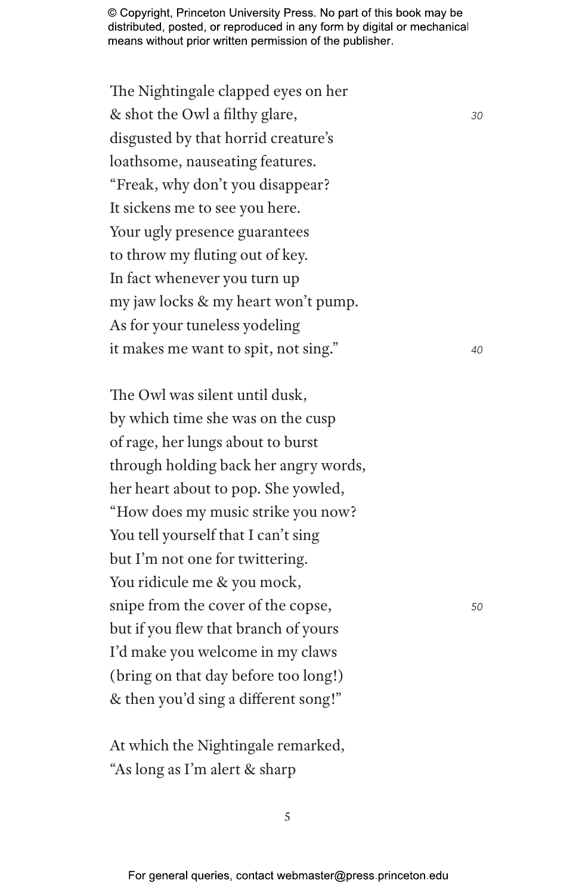The Nightingale clapped eyes on her & shot the Owl a filthy glare, *<sup>30</sup>* disgusted by that horrid creature's loathsome, nauseating features. "Freak, why don't you disappear? It sickens me to see you here. Your ugly presence guarantees to throw my fluting out of key. In fact whenever you turn up my jaw locks & my heart won't pump. As for your tuneless yodeling it makes me want to spit, not sing." *<sup>40</sup>*

The Owl was silent until dusk, by which time she was on the cusp of rage, her lungs about to burst through holding back her angry words, her heart about to pop. She yowled, "How does my music strike you now? You tell yourself that I can't sing but I'm not one for twittering. You ridicule me & you mock, snipe from the cover of the copse, *<sup>50</sup>* but if you flew that branch of yours I'd make you welcome in my claws (bring on that day before too long!) & then you'd sing a different song!"

At which the Nightingale remarked, "As long as I'm alert & sharp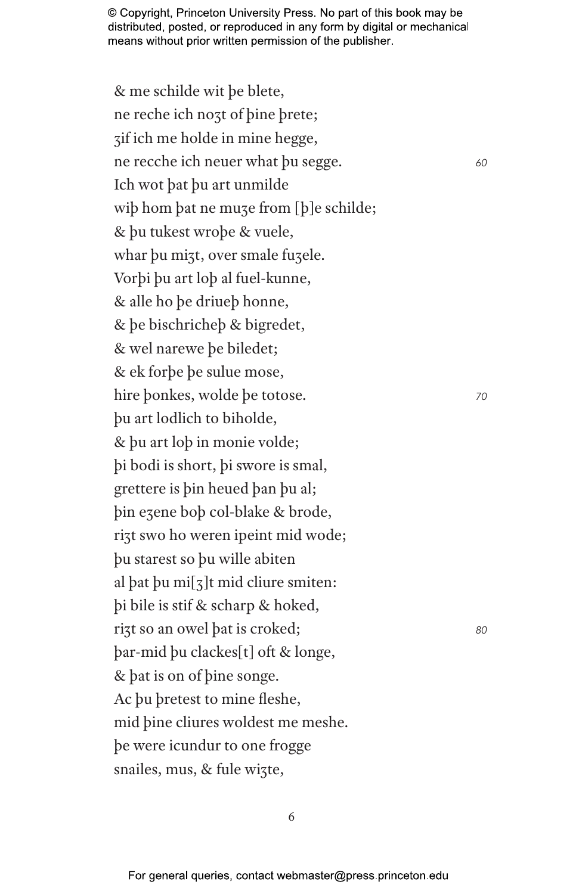& me schilde wit þe blete, ne reche ich noȝt of þine þrete; ȝif ich me holde in mine hegge, ne recche ich neuer what þu segge. *<sup>60</sup>* Ich wot þat þu art unmilde wiþ hom þat ne muȝe from [þ]e schilde; & þu tukest wroþe & vuele, whar þu mizt, over smale fuzele. Vorþi þu art loþ al fuel-kunne, & alle ho þe driueþ honne, & þe bischricheþ & bigredet, & wel narewe þe biledet; & ek forþe þe sulue mose, hire þonkes, wolde þe totose. *<sup>70</sup>* þu art lodlich to biholde, & þu art loþ in monie volde; þi bodi is short, þi swore is smal, grettere is þin heued þan þu al; þin eȝene boþ col-blake & brode, rizt swo ho weren ipeint mid wode; þu starest so þu wille abiten al þat þu mi[ȝ]t mid cliure smiten: þi bile is stif & scharp & hoked, riȝt so an owel þat is croked; *<sup>80</sup>* þar-mid þu clackes[t] oft & longe, & þat is on of þine songe. Ac þu þretest to mine fleshe, mid þine cliures woldest me meshe. þe were icundur to one frogge snailes, mus, & fule wizte,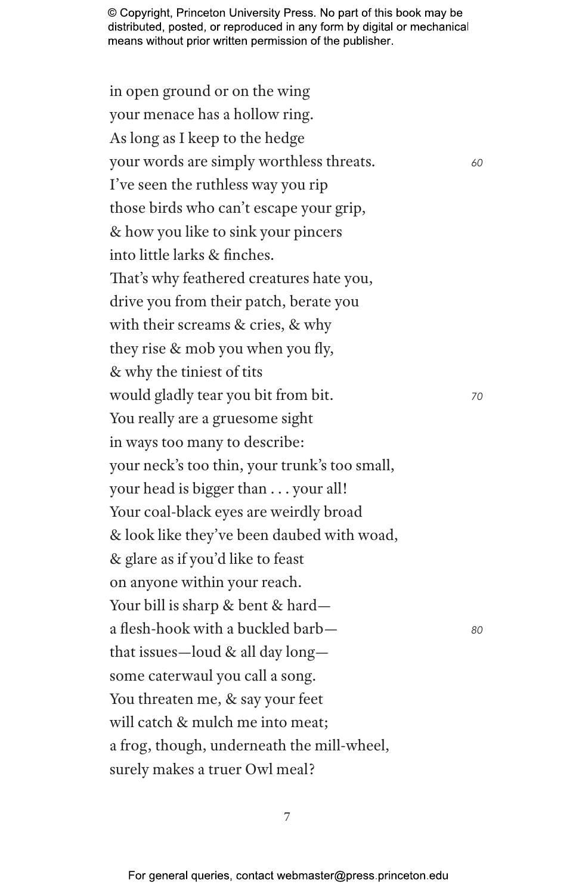in open ground or on the wing your menace has a hollow ring. As long as I keep to the hedge your words are simply worthless threats. *<sup>60</sup>* I've seen the ruthless way you rip those birds who can't escape your grip, & how you like to sink your pincers into little larks & finches. That's why feathered creatures hate you, drive you from their patch, berate you with their screams & cries, & why they rise & mob you when you fly, & why the tiniest of tits would gladly tear you bit from bit. *<sup>70</sup>* You really are a gruesome sight in ways too many to describe: your neck's too thin, your trunk's too small, your head is bigger than . . . your all! Your coal-black eyes are weirdly broad & look like they've been daubed with woad, & glare as if you'd like to feast on anyone within your reach. Your bill is sharp & bent & harda flesh-hook with a buckled barb— *<sup>80</sup>* that issues—loud & all day long some caterwaul you call a song. You threaten me, & say your feet will catch & mulch me into meat; a frog, though, underneath the mill-wheel, surely makes a truer Owl meal?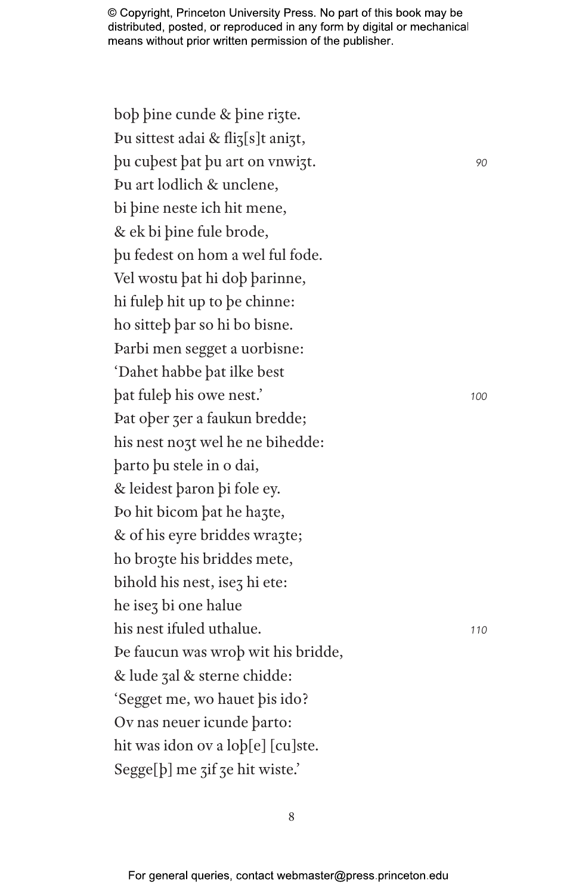boþ þine cunde & þine riȝte. Þu sittest adai & fliȝ[s]t aniȝt, þu cuþest þat þu art on vnwiȝt. *<sup>90</sup>* Þu art lodlich & unclene, bi þine neste ich hit mene, & ek bi þine fule brode, þu fedest on hom a wel ful fode. Vel wostu þat hi doþ þarinne, hi fuleþ hit up to þe chinne: ho sitteþ þar so hi bo bisne. Þarbi men segget a uorbisne: 'Dahet habbe þat ilke best þat fuleþ his owe nest.' *<sup>100</sup>* Þat oþer ȝer a faukun bredde; his nest noȝt wel he ne bihedde: þarto þu stele in o dai, & leidest þaron þi fole ey. Þo hit bicom þat he haȝte, & of his eyre briddes wrazte; ho broȝte his briddes mete, bihold his nest, isez hi ete: he iseȝ bi one halue his nest ifuled uthalue. *<sup>110</sup>* Þe faucun was wroþ wit his bridde, & lude ȝal & sterne chidde: 'Segget me, wo hauet þis ido? Ov nas neuer icunde þarto: hit was idon ov a loþ[e] [cu]ste. Segge[b] me zif ze hit wiste.'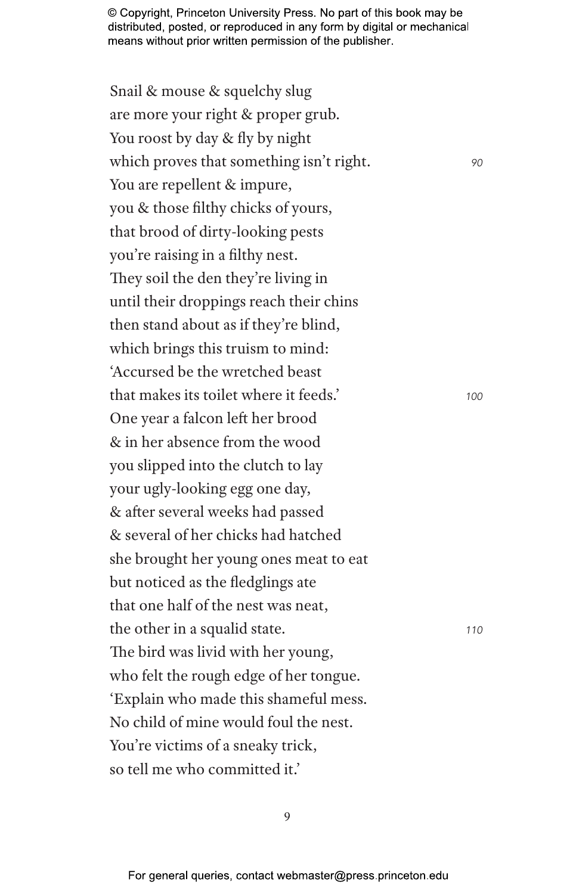Snail & mouse & squelchy slug are more your right & proper grub. You roost by day & fly by night which proves that something isn't right. *90* You are repellent & impure, you & those filthy chicks of yours, that brood of dirty-looking pests you're raising in a filthy nest. They soil the den they're living in until their droppings reach their chins then stand about as if they're blind, which brings this truism to mind: 'Accursed be the wretched beast that makes its toilet where it feeds.' *<sup>100</sup>* One year a falcon left her brood & in her absence from the wood you slipped into the clutch to lay your ugly-looking egg one day, & after several weeks had passed & several of her chicks had hatched she brought her young ones meat to eat but noticed as the fledglings ate that one half of the nest was neat, the other in a squalid state. *<sup>110</sup>* The bird was livid with her young, who felt the rough edge of her tongue. 'Explain who made this shameful mess. No child of mine would foul the nest. You're victims of a sneaky trick, so tell me who committed it.'

 $\overline{Q}$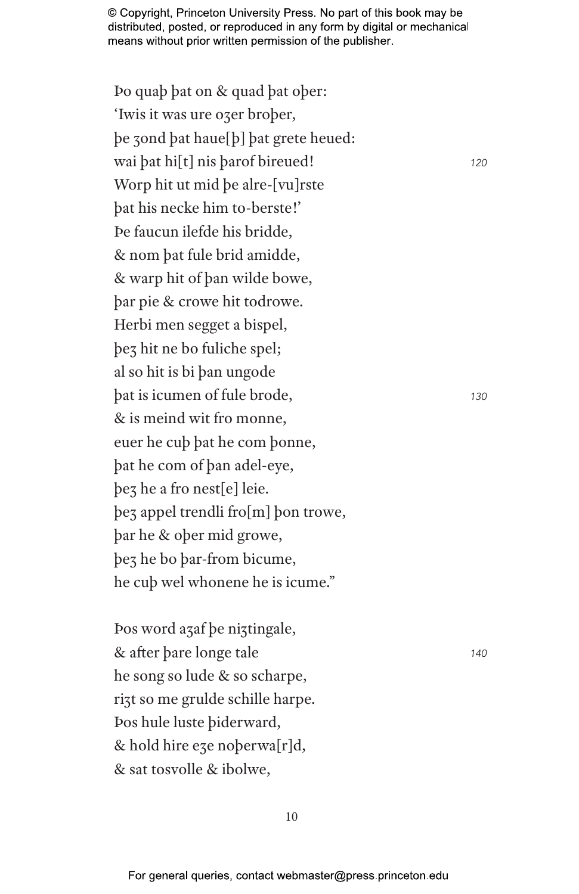Þo quaþ þat on & quad þat oþer: 'Iwis it was ure ozer brober, þe ȝond þat haue[þ] þat grete heued: wai þat hi[t] nis þarof bireued! *<sup>120</sup>* Worp hit ut mid þe alre-[vu]rste þat his necke him to-berste!' Þe faucun ilefde his bridde, & nom þat fule brid amidde, & warp hit of þan wilde bowe, þar pie & crowe hit todrowe. Herbi men segget a bispel, þeȝ hit ne bo fuliche spel; al so hit is bi þan ungode þat is icumen of fule brode, *<sup>130</sup>* & is meind wit fro monne, euer he cuþ þat he com þonne, þat he com of þan adel-eye, þeȝ he a fro nest[e] leie. þeȝ appel trendli fro[m] þon trowe, þar he & oþer mid growe, þeȝ he bo þar-from bicume, he cuþ wel whonene he is icume."

Þos word aȝaf þe niȝtingale, & after þare longe tale *<sup>140</sup>* he song so lude & so scharpe, rizt so me grulde schille harpe. Þos hule luste þiderward, & hold hire eȝe noþerwa[r]d, & sat tosvolle & ibolwe,

10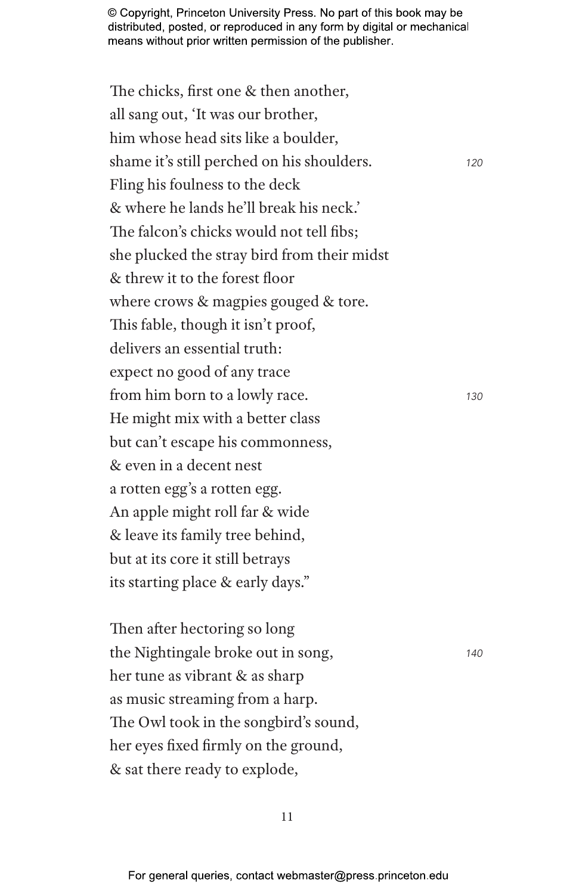The chicks, first one & then another, all sang out, 'It was our brother, him whose head sits like a boulder, shame it's still perched on his shoulders. *<sup>120</sup>* Fling his foulness to the deck & where he lands he'll break his neck.' The falcon's chicks would not tell fibs; she plucked the stray bird from their midst & threw it to the forest floor where crows & magpies gouged & tore. This fable, though it isn't proof, delivers an essential truth: expect no good of any trace from him born to a lowly race. *<sup>130</sup>* He might mix with a better class but can't escape his commonness, & even in a decent nest a rotten egg's a rotten egg. An apple might roll far & wide & leave its family tree behind, but at its core it still betrays its starting place & early days."

Then after hectoring so long the Nightingale broke out in song, *<sup>140</sup>* her tune as vibrant & as sharp as music streaming from a harp. The Owl took in the songbird's sound, her eyes fixed firmly on the ground, & sat there ready to explode,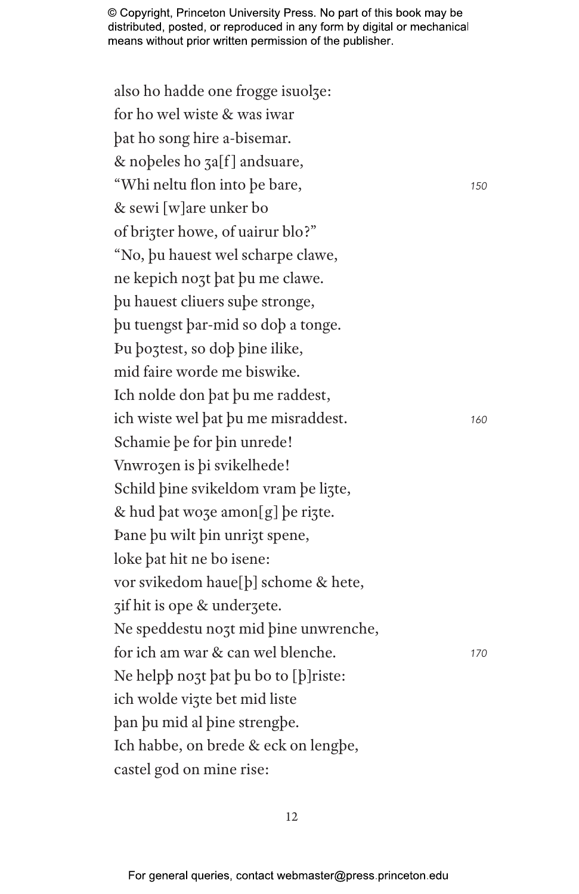also ho hadde one frogge isuolze: for ho wel wiste & was iwar þat ho song hire a-bisemar. & noþeles ho ȝa[f ] andsuare, "Whi neltu flon into þe bare, *<sup>150</sup>* & sewi [w]are unker bo of brizter howe, of uairur blo?" "No, þu hauest wel scharpe clawe, ne kepich noȝt þat þu me clawe. þu hauest cliuers suþe stronge, þu tuengst þar-mid so doþ a tonge. Þu þoȝtest, so doþ þine ilike, mid faire worde me biswike. Ich nolde don þat þu me raddest, ich wiste wel þat þu me misraddest. *<sup>160</sup>* Schamie þe for þin unrede! Vnwrozen is þi svikelhede! Schild þine svikeldom vram þe lizte,  $&$  hud þat woze amon $[g]$  be rizte. Þane þu wilt þin unriȝt spene, loke þat hit ne bo isene: vor svikedom haue[þ] schome & hete, ȝif hit is ope & underȝete. Ne speddestu noȝt mid þine unwrenche, for ich am war & can wel blenche. *<sup>170</sup>* Ne helpb nozt þat þu bo to [þ]riste: ich wolde viȝte bet mid liste þan þu mid al þine strengþe. Ich habbe, on brede & eck on lengþe, castel god on mine rise: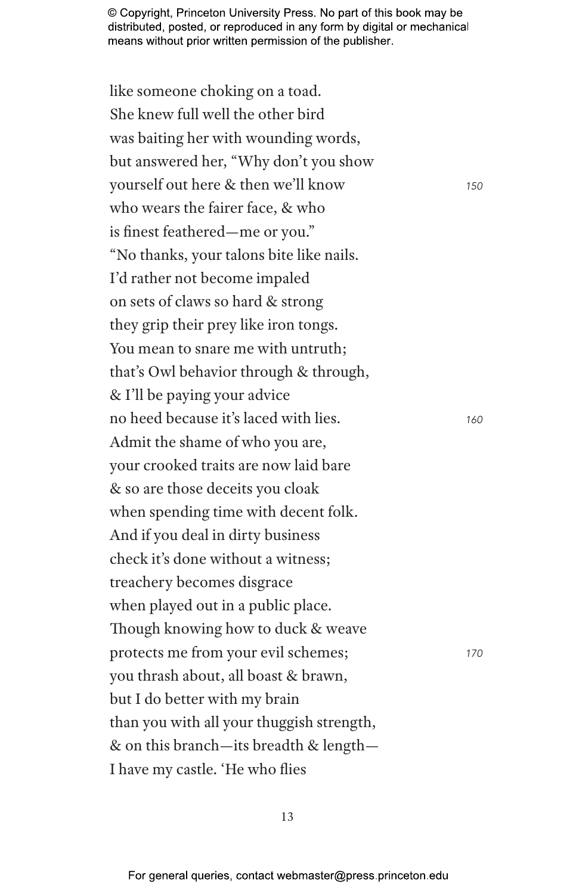like someone choking on a toad. She knew full well the other bird was baiting her with wounding words, but answered her, "Why don't you show yourself out here & then we'll know *<sup>150</sup>* who wears the fairer face, & who is finest feathered—me or you." "No thanks, your talons bite like nails. I'd rather not become impaled on sets of claws so hard & strong they grip their prey like iron tongs. You mean to snare me with untruth; that's Owl behavior through & through, & I'll be paying your advice no heed because it's laced with lies. *<sup>160</sup>* Admit the shame of who you are, your crooked traits are now laid bare & so are those deceits you cloak when spending time with decent folk. And if you deal in dirty business check it's done without a witness; treachery becomes disgrace when played out in a public place. Though knowing how to duck & weave protects me from your evil schemes; *<sup>170</sup>* you thrash about, all boast & brawn, but I do better with my brain than you with all your thuggish strength, & on this branch—its breadth & length— I have my castle. 'He who flies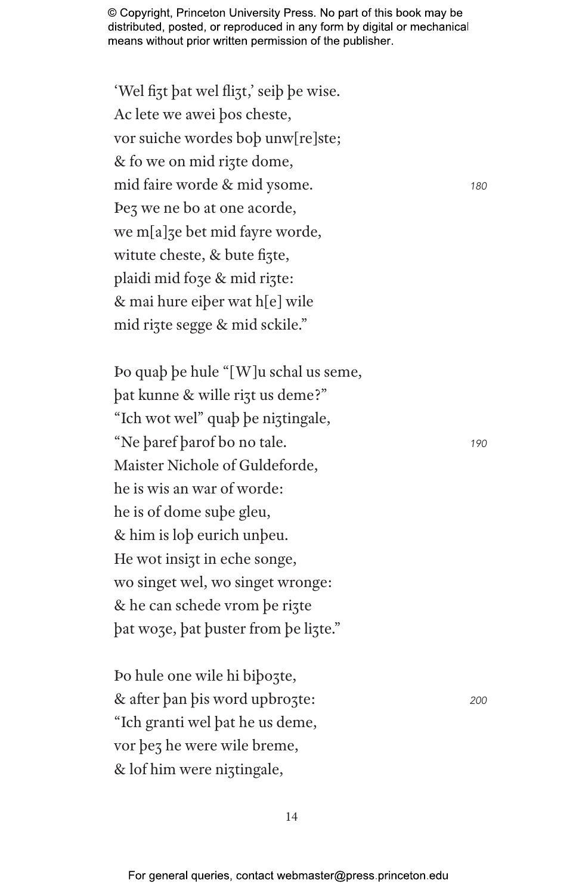$180$ 

190

200

'Wel fizt bat wel flizt,' seib be wise. Ac lete we awei bos cheste, vor suiche wordes bob unw[re]ste; & fo we on mid rizte dome, mid faire worde & mid ysome. Pez we ne bo at one acorde, we m[a]ze bet mid fayre worde, witute cheste, & bute fizte, plaidi mid foze & mid rizte: & mai hure eiber wat h[e] wile mid rizte segge & mid sckile."

Po quab be hule "[W]u schal us seme, bat kunne & wille rizt us deme?" "Ich wot wel" quab be niztingale, "Ne baref barof bo no tale. Maister Nichole of Guldeforde. he is wis an war of worde: he is of dome sube gleu, & him is lob eurich unbeu. He wot insizt in eche songe, wo singet wel, wo singet wronge: & he can schede vrom be rizte bat woze, bat buster from be lizte."

Po hule one wile hi bibozte, & after ban bis word upbrozte: "Ich granti wel bat he us deme, vor bez he were wile breme, & lof him were niztingale,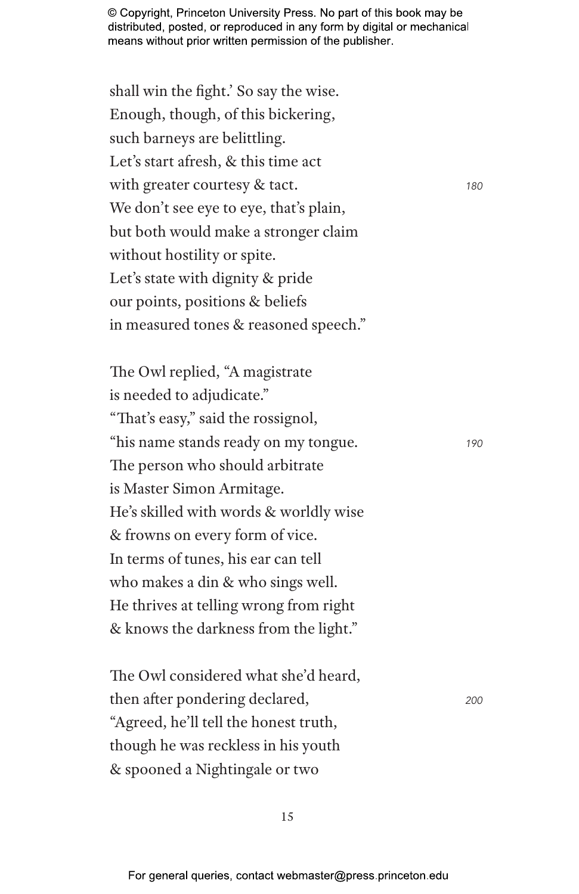shall win the fight.' So say the wise. Enough, though, of this bickering, such barneys are belittling. Let's start afresh, & this time act with greater courtesy & tact. **180** We don't see eye to eye, that's plain, but both would make a stronger claim without hostility or spite. Let's state with dignity & pride our points, positions & beliefs in measured tones & reasoned speech."

The Owl replied, "A magistrate is needed to adjudicate." "That's easy," said the rossignol, "his name stands ready on my tongue. *<sup>190</sup>* The person who should arbitrate is Master Simon Armitage. He's skilled with words & worldly wise & frowns on every form of vice. In terms of tunes, his ear can tell who makes a din & who sings well. He thrives at telling wrong from right & knows the darkness from the light."

The Owl considered what she'd heard, then after pondering declared, *<sup>200</sup>* "Agreed, he'll tell the honest truth, though he was reckless in his youth & spooned a Nightingale or two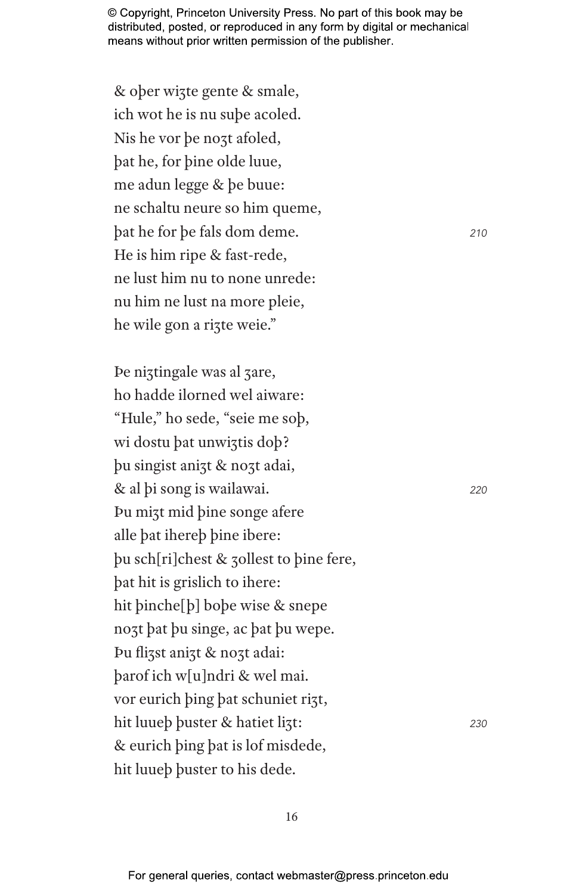& ober wizte gente & smale, ich wot he is nu sube acoled. Nis he vor be nozt afoled, bat he, for bine olde luue, me adun legge & be buue: ne schaltu neure so him queme, bat he for be fals dom deme. He is him ripe & fast-rede, ne lust him nu to none unrede: nu him ne lust na more pleie, he wile gon a rizte weie."

De niztingale was al zare, ho hadde ilorned wel aiware: "Hule," ho sede, "seie me sob, wi dostu bat unwiztis dob? bu singist anizt & nozt adai, & al bi song is wailawai. Pu mizt mid bine songe afere alle bat ihereb bine ibere: bu sch[ri]chest & 30llest to bine fere, bat hit is grislich to ihere: hit binche[b] bobe wise & snepe nozt bat bu singe, ac bat bu wepe. Þu flizst anizt & nozt adai: barof ich w[u]ndri & wel mai. vor eurich bing bat schuniet rizt, hit luueb buster & hatiet lizt: 230 & eurich bing bat is lof misdede, hit luueb buster to his dede.

210

220

16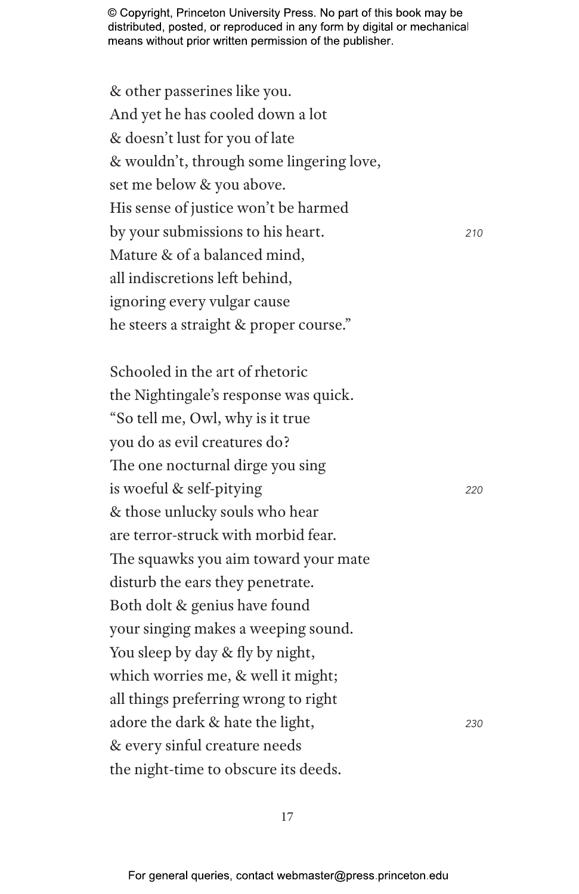& other passerines like you. And yet he has cooled down a lot & doesn't lust for you of late & wouldn't, through some lingering love, set me below & you above. His sense of justice won't be harmed by your submissions to his heart. *<sup>210</sup>* Mature & of a balanced mind, all indiscretions left behind, ignoring every vulgar cause he steers a straight & proper course."

Schooled in the art of rhetoric the Nightingale's response was quick. "So tell me, Owl, why is it true you do as evil creatures do? The one nocturnal dirge you sing is woeful & self-pitying *<sup>220</sup>* & those unlucky souls who hear are terror-struck with morbid fear. The squawks you aim toward your mate disturb the ears they penetrate. Both dolt & genius have found your singing makes a weeping sound. You sleep by day & fly by night, which worries me, & well it might; all things preferring wrong to right adore the dark & hate the light, *<sup>230</sup>* & every sinful creature needs the night-time to obscure its deeds.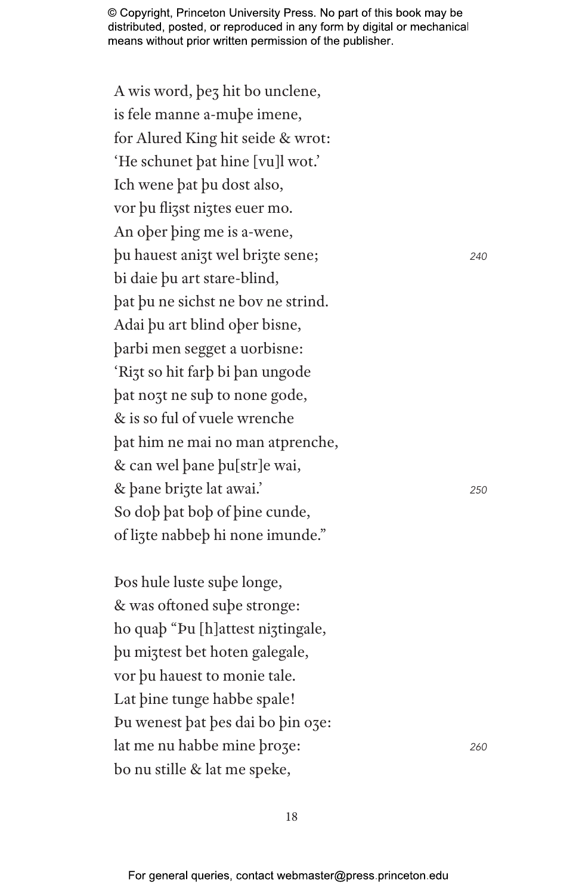A wis word, þeȝ hit bo unclene, is fele manne a-muþe imene, for Alured King hit seide & wrot: 'He schunet þat hine [vu]l wot.' Ich wene þat þu dost also, vor þu flizst niztes euer mo. An oþer þing me is a-wene, þu hauest aniȝt wel briȝte sene; *<sup>240</sup>* bi daie þu art stare-blind, þat þu ne sichst ne bov ne strind. Adai þu art blind oþer bisne, þarbi men segget a uorbisne: 'Riȝt so hit farþ bi þan ungode þat noȝt ne suþ to none gode, & is so ful of vuele wrenche þat him ne mai no man atprenche, & can wel þane þu[str]e wai, & þane briȝte lat awai.' *<sup>250</sup>* So doþ þat boþ of þine cunde, of liȝte nabbeþ hi none imunde."

Þos hule luste suþe longe, & was oftoned suþe stronge: ho quaþ "Þu [h]attest niʒtingale, þu miȝtest bet hoten galegale, vor þu hauest to monie tale. Lat þine tunge habbe spale! Þu wenest þat þes dai bo þin oȝe: lat me nu habbe mine þroȝe: *<sup>260</sup>* bo nu stille & lat me speke,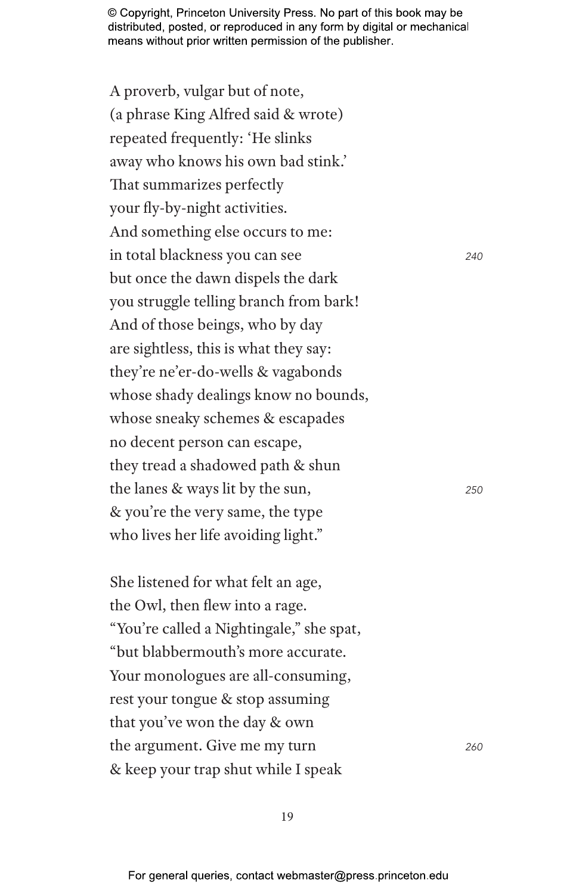A proverb, vulgar but of note, (a phrase King Alfred said & wrote) repeated frequently: 'He slinks away who knows his own bad stink.' That summarizes perfectly your fly-by-night activities. And something else occurs to me: in total blackness you can see *<sup>240</sup>* but once the dawn dispels the dark you struggle telling branch from bark! And of those beings, who by day are sightless, this is what they say: they're ne'er-do-wells & vagabonds whose shady dealings know no bounds, whose sneaky schemes & escapades no decent person can escape, they tread a shadowed path & shun the lanes & ways lit by the sun, *<sup>250</sup>* & you're the very same, the type who lives her life avoiding light."

She listened for what felt an age, the Owl, then flew into a rage. "You're called a Nightingale," she spat, "but blabbermouth's more accurate. Your monologues are all-consuming, rest your tongue & stop assuming that you've won the day & own the argument. Give me my turn *<sup>260</sup>* & keep your trap shut while I speak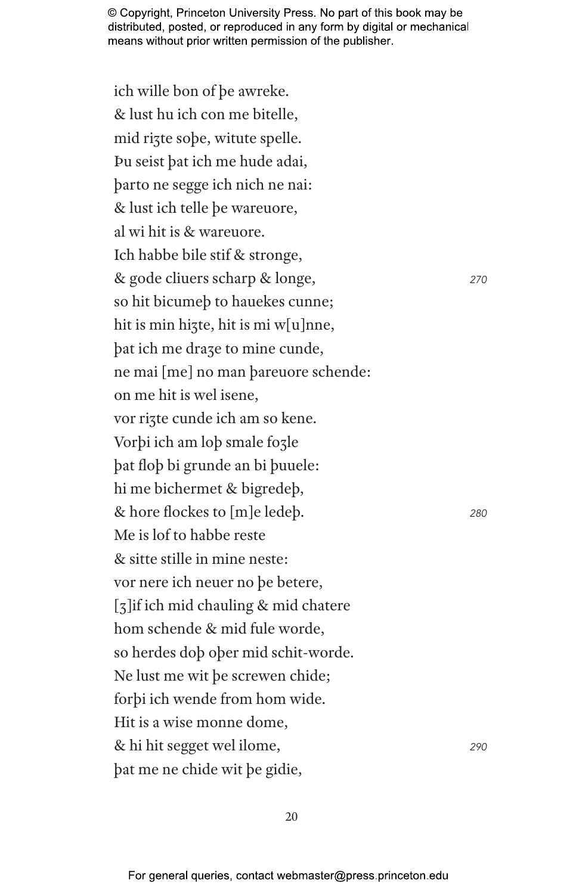ich wille bon of þe awreke. & lust hu ich con me bitelle, mid rizte sobe, witute spelle. Þu seist þat ich me hude adai, þarto ne segge ich nich ne nai: & lust ich telle þe wareuore, al wi hit is & wareuore. Ich habbe bile stif & stronge, & gode cliuers scharp & longe, *<sup>270</sup>* so hit bicumeþ to hauekes cunne; hit is min hizte, hit is mi w[u]nne, þat ich me draȝe to mine cunde, ne mai [me] no man þareuore schende: on me hit is wel isene, vor riȝte cunde ich am so kene. Vorþi ich am loþ smale foȝle þat floþ bi grunde an bi þuuele: hi me bichermet & bigredeþ, & hore flockes to [m]e ledeþ. *<sup>280</sup>* Me is lof to habbe reste & sitte stille in mine neste: vor nere ich neuer no þe betere, [ȝ]if ich mid chauling & mid chatere hom schende & mid fule worde, so herdes doþ oþer mid schit-worde. Ne lust me wit þe screwen chide; forþi ich wende from hom wide. Hit is a wise monne dome, & hi hit segget wel ilome, *<sup>290</sup>* þat me ne chide wit þe gidie,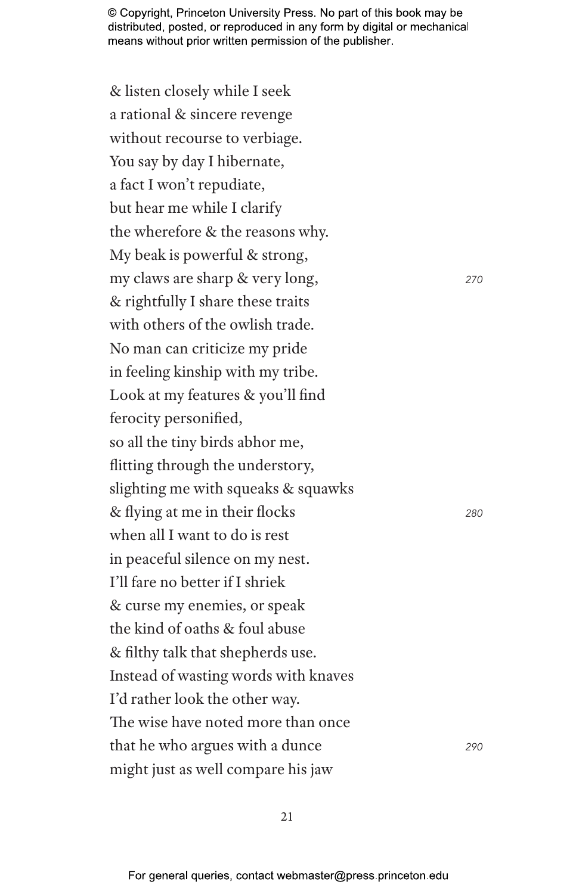& listen closely while I seek a rational & sincere revenge without recourse to verbiage. You say by day I hibernate, a fact I won't repudiate, but hear me while I clarify the wherefore & the reasons why. My beak is powerful & strong, my claws are sharp & very long, *<sup>270</sup>* & rightfully I share these traits with others of the owlish trade. No man can criticize my pride in feeling kinship with my tribe. Look at my features & you'll find ferocity personified, so all the tiny birds abhor me, flitting through the understory, slighting me with squeaks & squawks & flying at me in their flocks *<sup>280</sup>* when all I want to do is rest in peaceful silence on my nest. I'll fare no better if I shriek & curse my enemies, or speak the kind of oaths & foul abuse & filthy talk that shepherds use. Instead of wasting words with knaves I'd rather look the other way. The wise have noted more than once that he who argues with a dunce *<sup>290</sup>* might just as well compare his jaw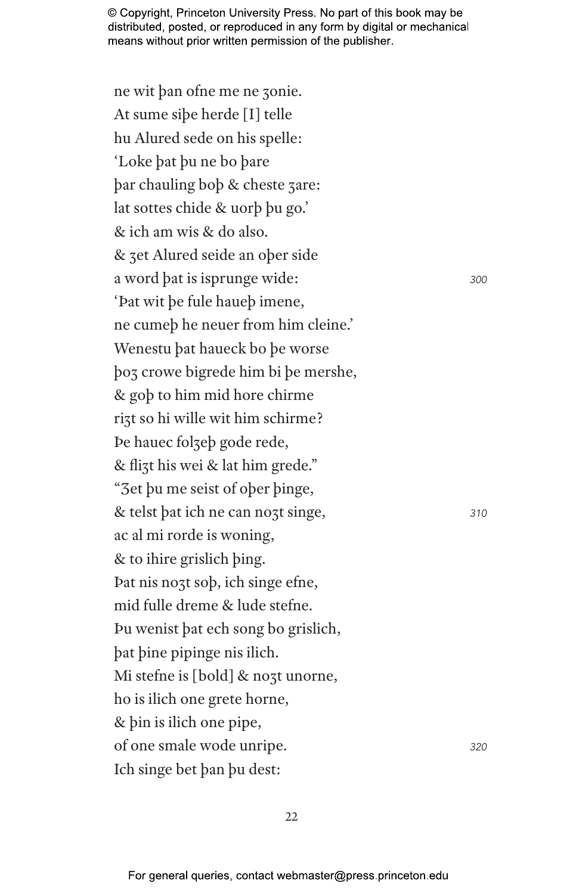ne wit þan ofne me ne ȝonie. At sume siþe herde [I] telle hu Alured sede on his spelle: 'Loke þat þu ne bo þare þar chauling boþ & cheste ȝare: lat sottes chide & uorþ þu go.' & ich am wis & do also. & ȝet Alured seide an oþer side a word þat is isprunge wide: *<sup>300</sup>* 'Þat wit þe fule haueþ imene, ne cumeþ he neuer from him cleine.' Wenestu þat haueck bo þe worse þoȝ crowe bigrede him bi þe mershe, & goþ to him mid hore chirme rizt so hi wille wit him schirme? Þe hauec folȝeþ gode rede, & fliȝt his wei & lat him grede." "Ȝet þu me seist of oþer þinge, & telst þat ich ne can noȝt singe, *<sup>310</sup>* ac al mi rorde is woning, & to ihire grislich þing. Þat nis noȝt soþ, ich singe efne, mid fulle dreme & lude stefne. Þu wenist þat ech song bo grislich, þat þine pipinge nis ilich. Mi stefne is [bold] & nozt unorne, ho is ilich one grete horne, & þin is ilich one pipe, of one smale wode unripe. *<sup>320</sup>* Ich singe bet þan þu dest: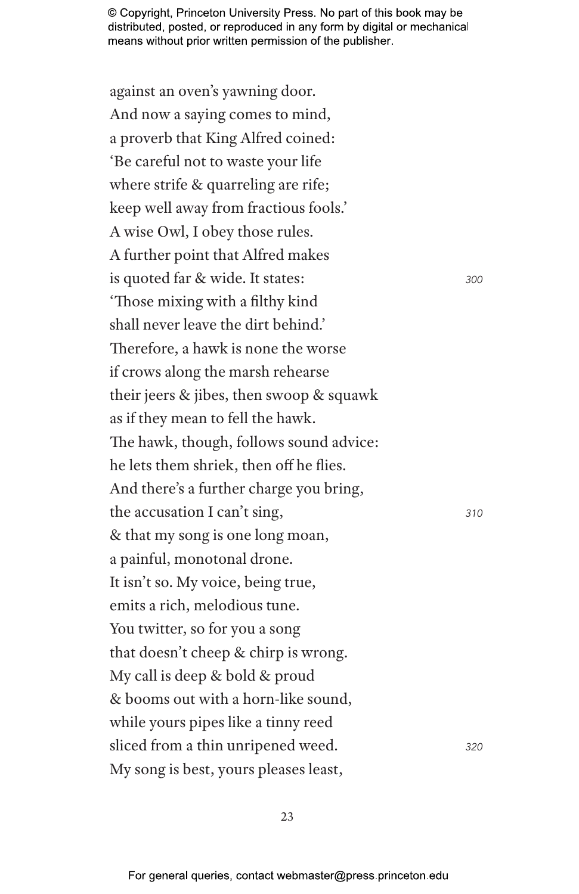against an oven's yawning door. And now a saying comes to mind, a proverb that King Alfred coined: 'Be careful not to waste your life where strife & quarreling are rife; keep well away from fractious fools.' A wise Owl, I obey those rules. A further point that Alfred makes is quoted far & wide. It states: *<sup>300</sup>* 'Those mixing with a filthy kind shall never leave the dirt behind.' Therefore, a hawk is none the worse if crows along the marsh rehearse their jeers & jibes, then swoop & squawk as if they mean to fell the hawk. The hawk, though, follows sound advice: he lets them shriek, then off he flies. And there's a further charge you bring, the accusation I can't sing, *<sup>310</sup>* & that my song is one long moan, a painful, monotonal drone. It isn't so. My voice, being true, emits a rich, melodious tune. You twitter, so for you a song that doesn't cheep & chirp is wrong. My call is deep & bold & proud & booms out with a horn-like sound, while yours pipes like a tinny reed sliced from a thin unripened weed. *<sup>320</sup>* My song is best, yours pleases least,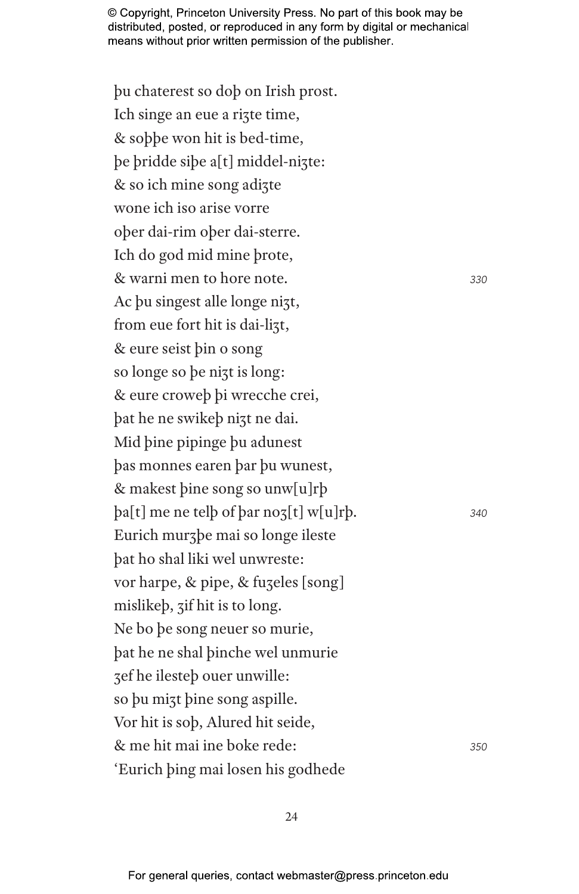þu chaterest so doþ on Irish prost. Ich singe an eue a rizte time, & soþþe won hit is bed-time, þe þridde siþe a[t] middel-niȝte: & so ich mine song adiȝte wone ich iso arise vorre oþer dai-rim oþer dai-sterre. Ich do god mid mine þrote, & warni men to hore note. *<sup>330</sup>* Ac þu singest alle longe nizt, from eue fort hit is dai-lizt, & eure seist þin o song so longe so þe niȝt is long: & eure croweþ þi wrecche crei, þat he ne swikeþ niȝt ne dai. Mid þine pipinge þu adunest þas monnes earen þar þu wunest, & makest þine song so unw[u]rþ þa[t] me ne telþ of þar noȝ[t] w[u]rþ. *<sup>340</sup>* Eurich murȝþe mai so longe ileste þat ho shal liki wel unwreste: vor harpe, & pipe, & fuzeles [song] mislikeþ, ȝif hit is to long. Ne bo þe song neuer so murie, þat he ne shal þinche wel unmurie ȝef he ilesteþ ouer unwille: so þu miȝt þine song aspille. Vor hit is soþ, Alured hit seide, & me hit mai ine boke rede: *<sup>350</sup>* 'Eurich þing mai losen his godhede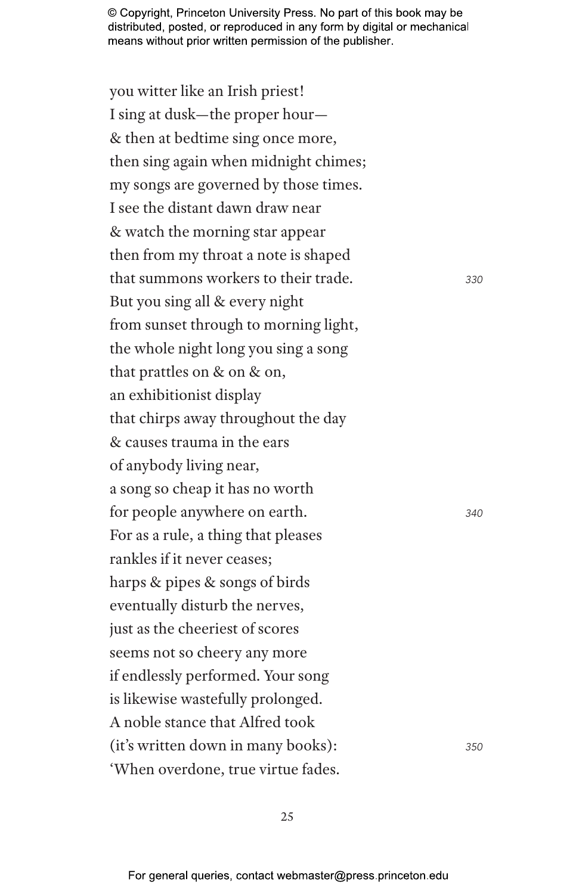you witter like an Irish priest! I sing at dusk—the proper hour— & then at bedtime sing once more, then sing again when midnight chimes; my songs are governed by those times. I see the distant dawn draw near & watch the morning star appear then from my throat a note is shaped that summons workers to their trade. *<sup>330</sup>* But you sing all & every night from sunset through to morning light, the whole night long you sing a song that prattles on & on & on, an exhibitionist display that chirps away throughout the day & causes trauma in the ears of anybody living near, a song so cheap it has no worth for people anywhere on earth. *<sup>340</sup>* For as a rule, a thing that pleases rankles if it never ceases; harps & pipes & songs of birds eventually disturb the nerves, just as the cheeriest of scores seems not so cheery any more if endlessly performed. Your song is likewise wastefully prolonged. A noble stance that Alfred took (it's written down in many books): *<sup>350</sup>* 'When overdone, true virtue fades.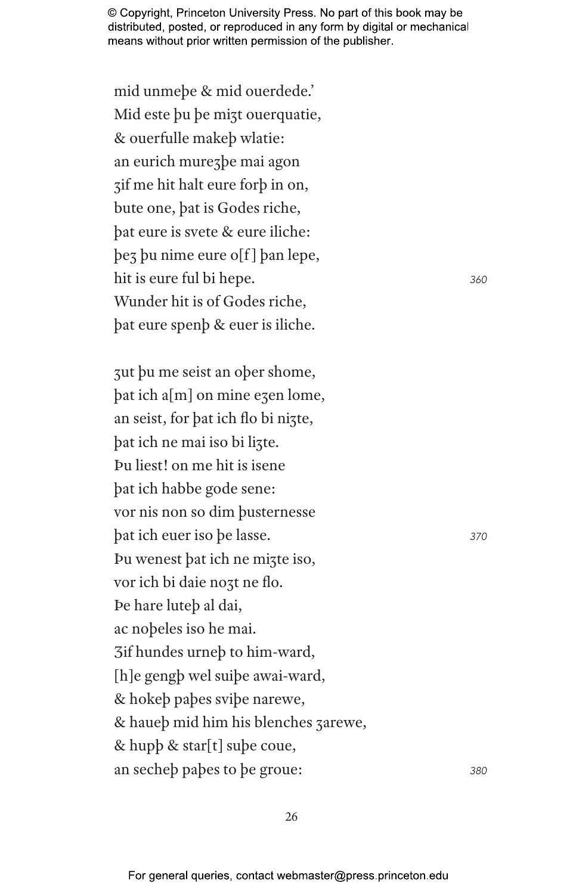mid unmeþe & mid ouerdede.' Mid este þu þe miȝt ouerquatie, & ouerfulle makeþ wlatie: an eurich mureȝþe mai agon ȝif me hit halt eure forþ in on, bute one, þat is Godes riche, þat eure is svete & eure iliche: þeȝ þu nime eure o[f ] þan lepe, hit is eure ful bi hepe. *<sup>360</sup>* Wunder hit is of Godes riche, þat eure spenþ & euer is iliche.

ȝut þu me seist an oþer shome, þat ich a[m] on mine eȝen lome, an seist, for þat ich flo bi niȝte, þat ich ne mai iso bi liȝte. Þu liest! on me hit is isene þat ich habbe gode sene: vor nis non so dim þusternesse þat ich euer iso þe lasse. *<sup>370</sup>* Þu wenest þat ich ne miȝte iso, vor ich bi daie noȝt ne flo. Þe hare luteþ al dai, ac noþeles iso he mai. Ȝif hundes urneþ to him-ward, [h]e gengþ wel suiþe awai-ward, & hokeþ paþes sviþe narewe, & haueþ mid him his blenches ȝarewe, & hupþ & star[t] suþe coue, an secheþ paþes to þe groue: *<sup>380</sup>*

26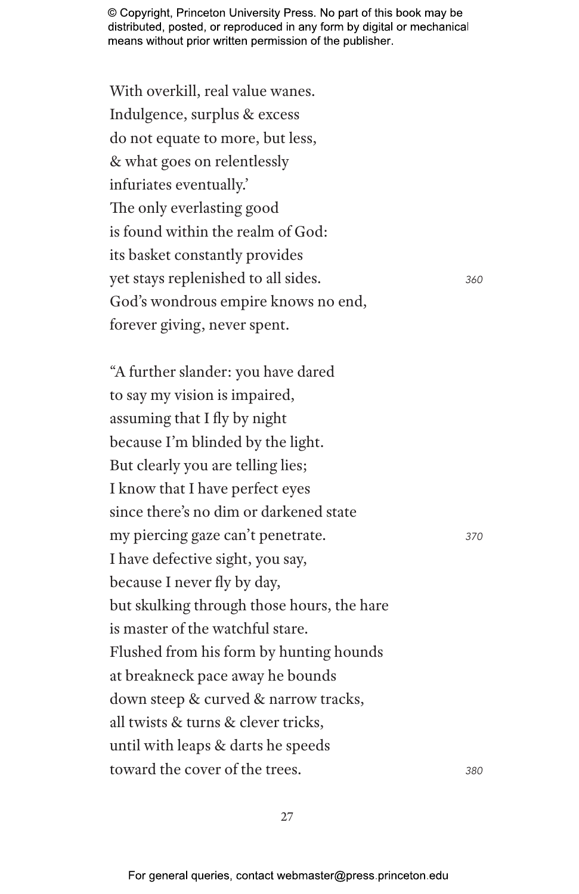With overkill, real value wanes. Indulgence, surplus & excess do not equate to more, but less, & what goes on relentlessly infuriates eventually.' The only everlasting good is found within the realm of God: its basket constantly provides yet stays replenished to all sides. *<sup>360</sup>* God's wondrous empire knows no end, forever giving, never spent.

"A further slander: you have dared to say my vision is impaired, assuming that I fly by night because I'm blinded by the light. But clearly you are telling lies; I know that I have perfect eyes since there's no dim or darkened state my piercing gaze can't penetrate. *<sup>370</sup>* I have defective sight, you say, because I never fly by day, but skulking through those hours, the hare is master of the watchful stare. Flushed from his form by hunting hounds at breakneck pace away he bounds down steep & curved & narrow tracks, all twists & turns & clever tricks, until with leaps & darts he speeds toward the cover of the trees. *<sup>380</sup>*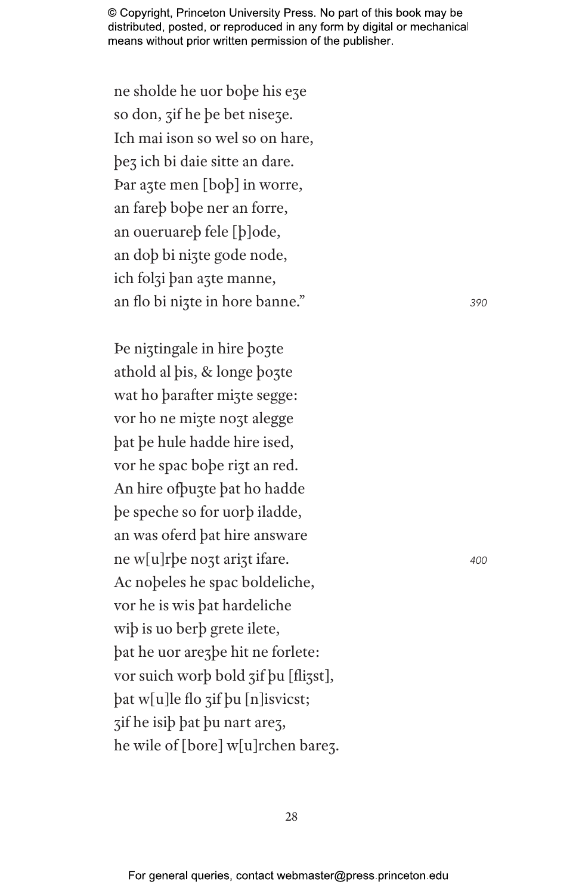ne sholde he uor bobe his eze so don, zif he be bet niseze. Ich mai ison so wel so on hare, bez ich bi daie sitte an dare. Par azte men [bob] in worre, an fareb bobe ner an forre, an oueruareb fele [b]ode, an dob bi nizte gode node, ich folzi ban azte manne, an flo bi nizte in hore banne."

De niztingale in hire bozte athold al bis, & longe bozte wat ho barafter mizte segge: vor ho ne mizte nozt alegge bat be hule hadde hire ised, vor he spac bobe rizt an red. An hire of buzte bat ho hadde be speche so for uorb iladde, an was oferd bat hire answare ne w[u]rbe nozt arizt ifare. Ac nobeles he spac boldeliche, vor he is wis bat hardeliche wip is uo berp grete ilete, bat he uor are zbe hit ne forlete: vor suich worb bold zif bu [flizst], pat w[u]le flo zif bu [n]isvicst; zif he isib bat bu nart arez, he wile of [bore] w[u]rchen barez. 390

400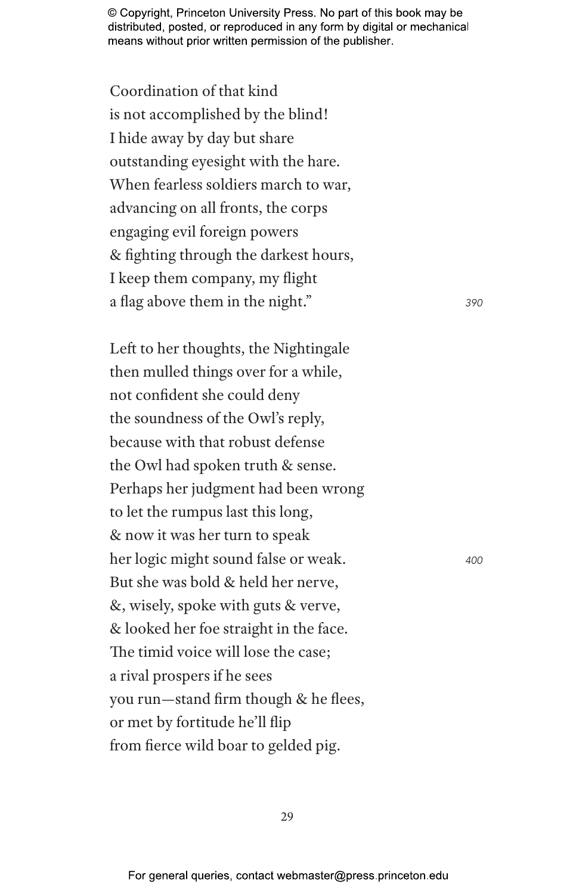Coordination of that kind is not accomplished by the blind! I hide away by day but share outstanding eyesight with the hare. When fearless soldiers march to war, advancing on all fronts, the corps engaging evil foreign powers & fighting through the darkest hours, I keep them company, my flight a flag above them in the night." *<sup>390</sup>*

Left to her thoughts, the Nightingale then mulled things over for a while, not confident she could deny the soundness of the Owl's reply, because with that robust defense the Owl had spoken truth & sense. Perhaps her judgment had been wrong to let the rumpus last this long, & now it was her turn to speak her logic might sound false or weak. *<sup>400</sup>* But she was bold & held her nerve, &, wisely, spoke with guts & verve, & looked her foe straight in the face. The timid voice will lose the case; a rival prospers if he sees you run—stand firm though & he flees, or met by fortitude he'll flip from fierce wild boar to gelded pig.